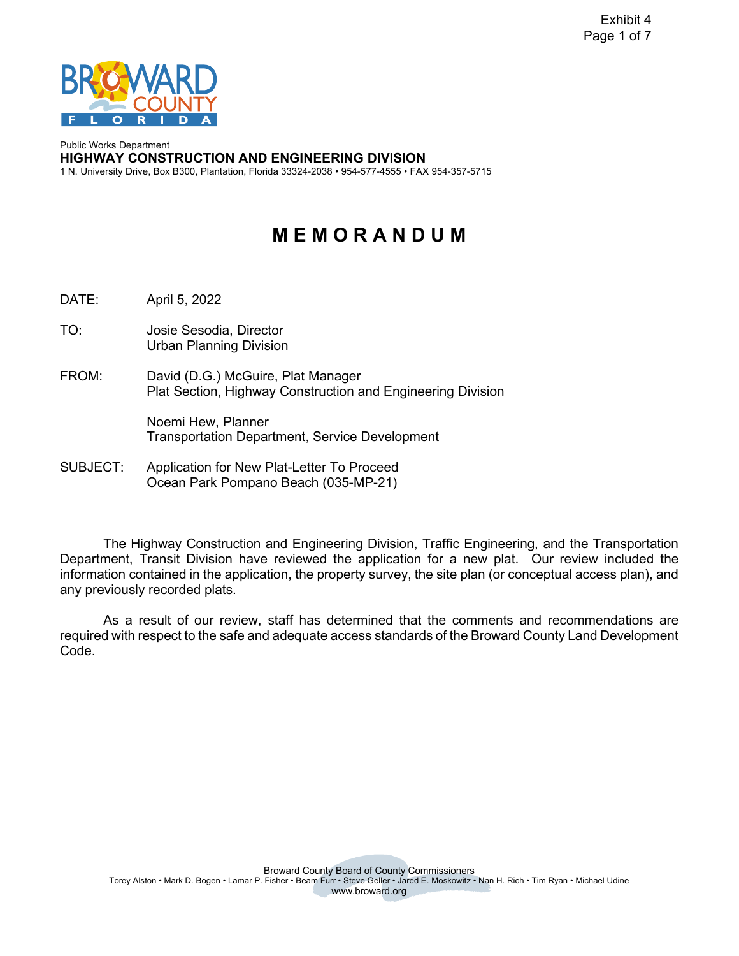

 1 N. University Drive, Box B300, Plantation, Florida 33324-2038 • 954-577-4555 • FAX 954-357-5715 Public Works Department **HIGHWAY CONSTRUCTION AND ENGINEERING DIVISION** 

# **M E M O R A N D U M**

DATE: April 5, 2022

TO: Josie Sesodia, Director Urban Planning Division

FROM: David (D.G.) McGuire, Plat Manager Plat Section, Highway Construction and Engineering Division

> Noemi Hew, Planner Transportation Department, Service Development

Application for New Plat-Letter To Proceed SUBJECT: Application for New Plat-Letter To Proceed Ocean Park Pompano Beach (035-MP-21)

 Department, Transit Division have reviewed the application for a new plat. Our review included the any previously recorded plats. The Highway Construction and Engineering Division, Traffic Engineering, and the Transportation information contained in the application, the property survey, the site plan (or conceptual access plan), and

any previously recorded plats.<br>As a result of our review, staff has determined that the comments and recommendations are required with respect to the safe and adequate access standards of the Broward County Land Development Code.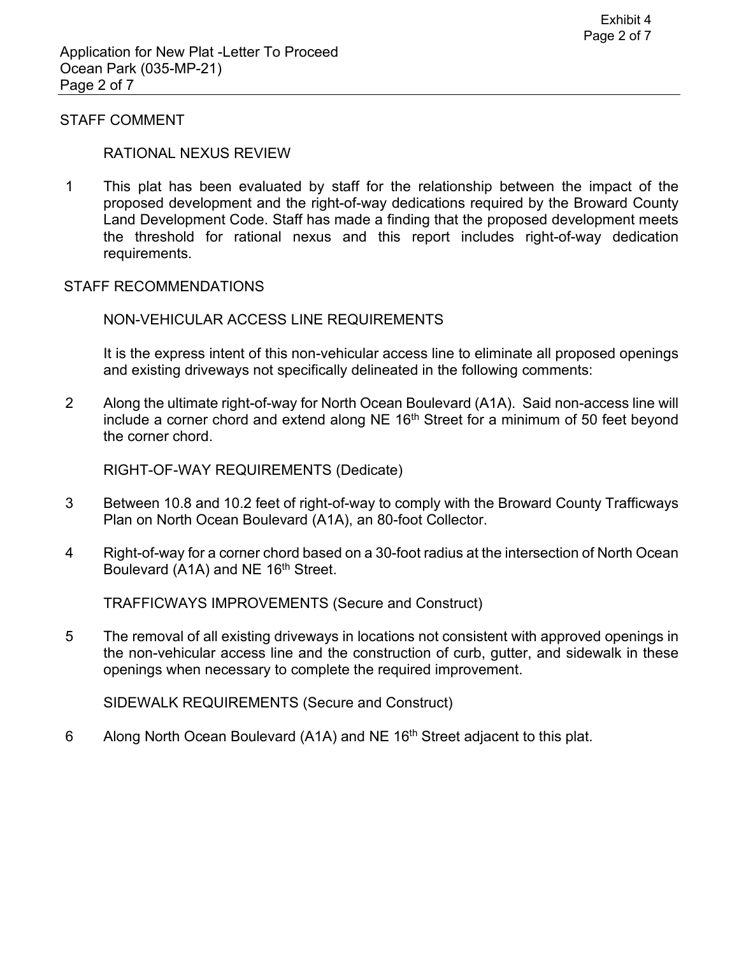#### STAFF COMMENT

#### RATIONAL NEXUS REVIEW

 1 This plat has been evaluated by staff for the relationship between the impact of the proposed development and the right-of-way dedications required by the Broward County Land Development Code. Staff has made a finding that the proposed development meets the threshold for rational nexus and this report includes right-of-way dedication requirements.

#### STAFF RECOMMENDATIONS

#### NON-VEHICULAR ACCESS LINE REQUIREMENTS

 It is the express intent of this non-vehicular access line to eliminate all proposed openings and existing driveways not specifically delineated in the following comments:

 2 Along the ultimate right-of-way for North Ocean Boulevard (A1A). Said non-access line will include a corner chord and extend along NE  $16<sup>th</sup>$  Street for a minimum of 50 feet beyond the corner chord.

RIGHT-OF-WAY REQUIREMENTS (Dedicate)

- 3 Between 10.8 and 10.2 feet of right-of-way to comply with the Broward County Trafficways Plan on North Ocean Boulevard (A1A), an 80-foot Collector.
- Boulevard (A1A) and NE 16<sup>th</sup> Street. 4 Right-of-way for a corner chord based on a 30-foot radius at the intersection of North Ocean

TRAFFICWAYS IMPROVEMENTS (Secure and Construct)

5 The removal of all existing driveways in locations not consistent with approved openings in the non-vehicular access line and the construction of curb, gutter, and sidewalk in these openings when necessary to complete the required improvement.

SIDEWALK REQUIREMENTS (Secure and Construct)

6 Along North Ocean Boulevard (A1A) and NE 16<sup>th</sup> Street adjacent to this plat.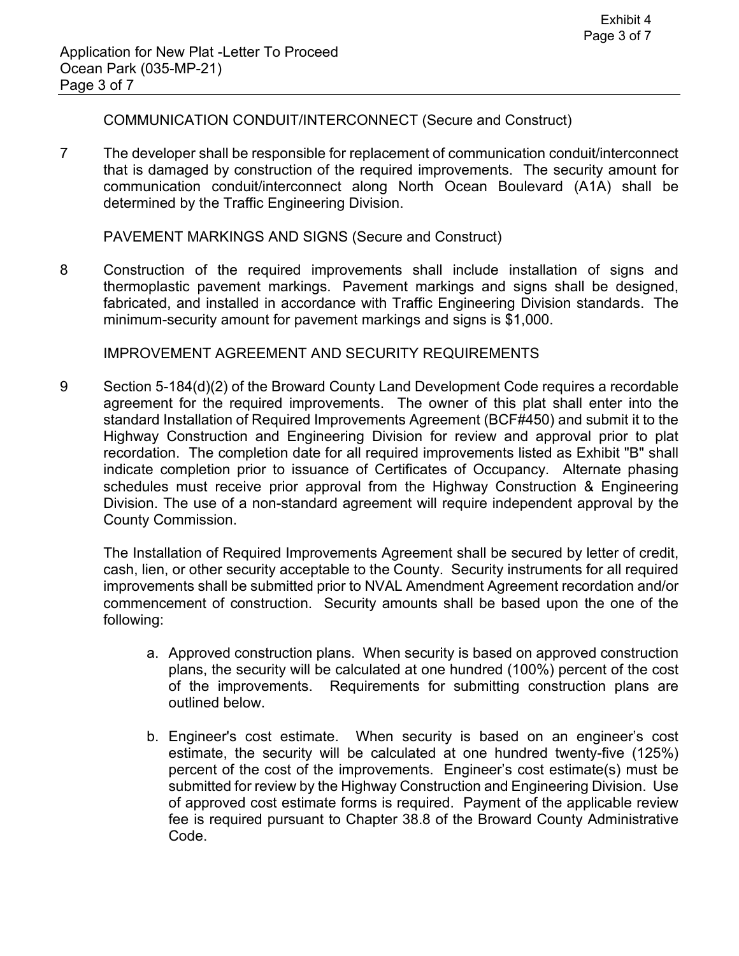COMMUNICATION CONDUIT/INTERCONNECT (Secure and Construct)

 that is damaged by construction of the required improvements. The security amount for determined by the Traffic Engineering Division. 7 The developer shall be responsible for replacement of communication conduit/interconnect communication conduit/interconnect along North Ocean Boulevard (A1A) shall be

PAVEMENT MARKINGS AND SIGNS (Secure and Construct)

 8 Construction of the required improvements shall include installation of signs and thermoplastic pavement markings. Pavement markings and signs shall be designed, fabricated, and installed in accordance with Traffic Engineering Division standards. The minimum-security amount for pavement markings and signs is \$1,000.

IMPROVEMENT AGREEMENT AND SECURITY REQUIREMENTS

 agreement for the required improvements. The owner of this plat shall enter into the recordation. The completion date for all required improvements listed as Exhibit "B" shall schedules must receive prior approval from the Highway Construction & Engineering Division. The use of a non-standard agreement will require independent approval by the 9 Section 5-184(d)(2) of the Broward County Land Development Code requires a recordable standard Installation of Required Improvements Agreement (BCF#450) and submit it to the Highway Construction and Engineering Division for review and approval prior to plat indicate completion prior to issuance of Certificates of Occupancy. Alternate phasing County Commission.

 commencement of construction. Security amounts shall be based upon the one of the The Installation of Required Improvements Agreement shall be secured by letter of credit, cash, lien, or other security acceptable to the County. Security instruments for all required improvements shall be submitted prior to NVAL Amendment Agreement recordation and/or following:

- a. Approved construction plans. When security is based on approved construction plans, the security will be calculated at one hundred (100%) percent of the cost of the improvements. Requirements for submitting construction plans are outlined below.
- of approved cost estimate forms is required. Payment of the applicable review b. Engineer's cost estimate. When security is based on an engineer's cost estimate, the security will be calculated at one hundred twenty-five (125%) percent of the cost of the improvements. Engineer's cost estimate(s) must be submitted for review by the Highway Construction and Engineering Division. Use fee is required pursuant to Chapter 38.8 of the Broward County Administrative Code.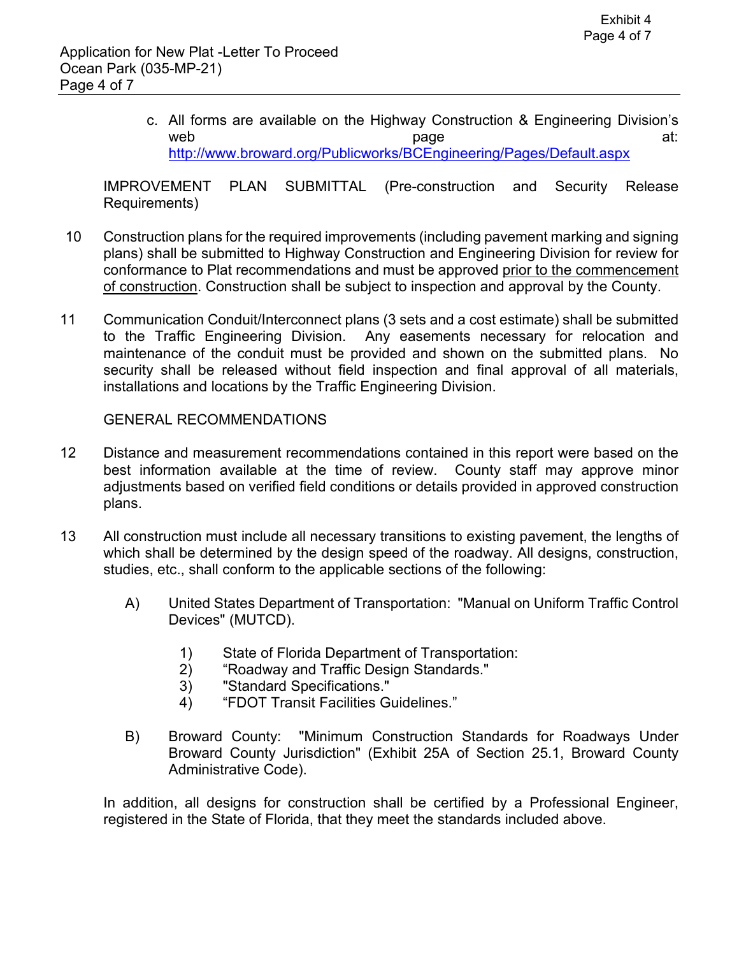c. All forms are available on the Highway Construction & Engineering Division's web at: and the page at: and the page  $\qquad \qquad \text{at:}$ 

http://www.broward.org/Publicworks/BCEngineering/Pages/Default.aspx<br>IMPROVEMENT PLAN SUBMITTAL (Pre-construction and Security Release Requirements)

- conformance to Plat recommendations and must be approved prior to the commencement 10 Construction plans for the required improvements (including pavement marking and signing plans) shall be submitted to Highway Construction and Engineering Division for review for of construction. Construction shall be subject to inspection and approval by the County.
- 11 Communication Conduit/Interconnect plans (3 sets and a cost estimate) shall be submitted to the Traffic Engineering Division. Any easements necessary for relocation and maintenance of the conduit must be provided and shown on the submitted plans. No security shall be released without field inspection and final approval of all materials, installations and locations by the Traffic Engineering Division.

GENERAL RECOMMENDATIONS

- 12 Distance and measurement recommendations contained in this report were based on the best information available at the time of review. County staff may approve minor adjustments based on verified field conditions or details provided in approved construction plans.
- 13 All construction must include all necessary transitions to existing pavement, the lengths of which shall be determined by the design speed of the roadway. All designs, construction, studies, etc., shall conform to the applicable sections of the following:
	- A) United States Department of Transportation: "Manual on Uniform Traffic Control Devices" (MUTCD).
		- 1) State of Florida Department of Transportation:
		- 2) "Roadway and Traffic Design Standards."
		- 3) "Standard Specifications."
		- 4) "FDOT Transit Facilities Guidelines."
	- B) Broward County: "Minimum Construction Standards for Roadways Under Broward County Jurisdiction" (Exhibit 25A of Section 25.1, Broward County Administrative Code).

In addition, all designs for construction shall be certified by a Professional Engineer, registered in the State of Florida, that they meet the standards included above.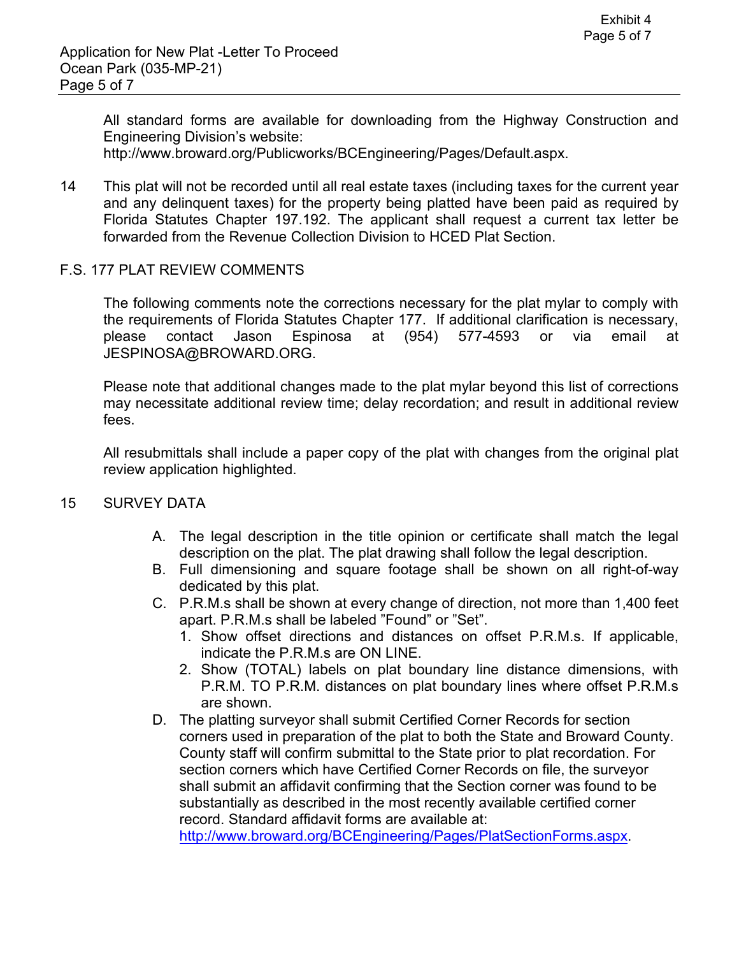All standard forms are available for downloading from the Highway Construction and **Engineering Division's website:** 

[http://www.broward.org/Publicworks/BCEngineering/Pages/Default.aspx.](http://www.broward.org/Publicworks/BCEngineering/Pages/Default.aspx)

14 This plat will not be recorded until all real estate taxes (including taxes for the current year and any delinquent taxes) for the property being platted have been paid as required by Florida Statutes Chapter 197.192. The applicant shall request a current tax letter be forwarded from the Revenue Collection Division to HCED Plat Section.

## F.S. 177 PLAT REVIEW COMMENTS

email The following comments note the corrections necessary for the plat mylar to comply with the requirements of Florida Statutes Chapter 177. If additional clarification is necessary, please contact Jason Espinosa at (954) 577-4593 or via email at [JESPINOSA@BROWARD.ORG.](mailto:JESPINOSA@BROWARD.ORG)

Please note that additional changes made to the plat mylar beyond this list of corrections may necessitate additional review time; delay recordation; and result in additional review fees.

All resubmittals shall include a paper copy of the plat with changes from the original plat review application highlighted.

## 15 SURVEY DATA

- A. The legal description in the title opinion or certificate shall match the legal description on the plat. The plat drawing shall follow the legal description.
- B. Full dimensioning and square footage shall be shown on all right-of-way dedicated by this plat.
- C. P.R.M.s shall be shown at every change of direction, not more than 1,400 feet apart. P.R.M.s shall be labeled "Found" or "Set".
	- 1. Show offset directions and distances on offset P.R.M.s. If applicable, indicate the P.R.M.s are ON LINE.
	- 2. Show (TOTAL) labels on plat boundary line distance dimensions, with P.R.M. TO P.R.M. distances on plat boundary lines where offset P.R.M.s are shown.
- corners used in preparation of the plat to both the State and Broward County. D. The platting surveyor shall submit Certified Corner Records for section County staff will confirm submittal to the State prior to plat recordation. For section corners which have Certified Corner Records on file, the surveyor shall submit an affidavit confirming that the Section corner was found to be substantially as described in the most recently available certified corner record. Standard affidavit forms are available at:

<http://www.broward.org/BCEngineering/Pages/PlatSectionForms.aspx>.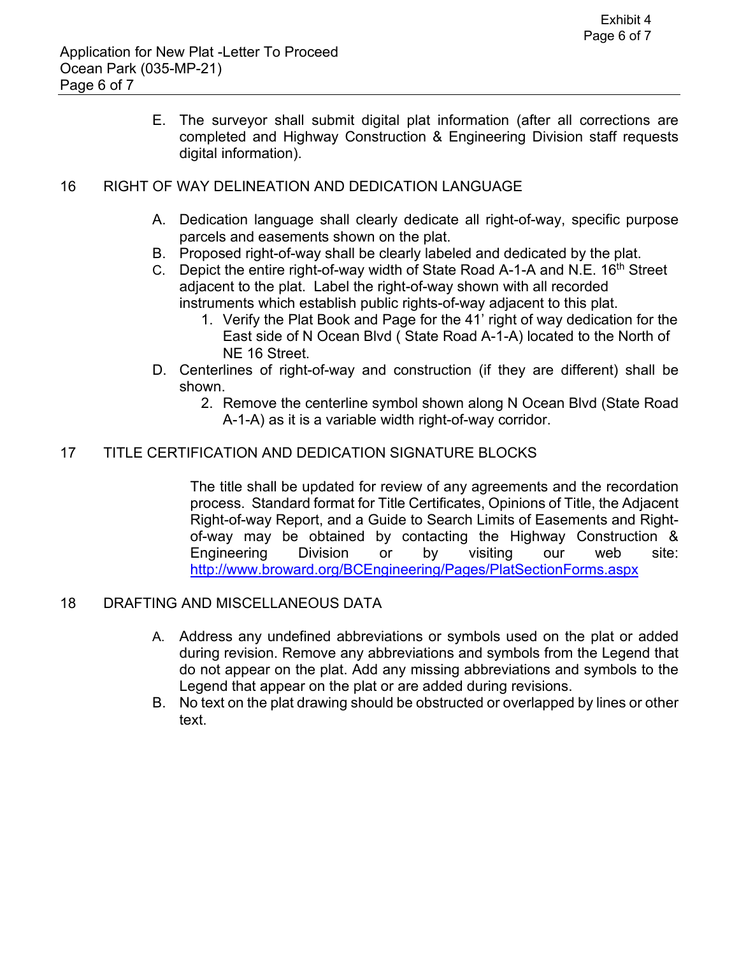E. The surveyor shall submit digital plat information (after all corrections are completed and Highway Construction & Engineering Division staff requests digital information).

# 16 RIGHT OF WAY DELINEATION AND DEDICATION LANGUAGE

- A. Dedication language shall clearly dedicate all right-of-way, specific purpose parcels and easements shown on the plat.
- B. Proposed right-of-way shall be clearly labeled and dedicated by the plat.
- C. Depict the entire right-of-way width of State Road A-1-A and N.E. 16<sup>th</sup> Street adjacent to the plat. Label the right-of-way shown with all recorded instruments which establish public rights-of-way adjacent to this plat.
	- NE 16 Street. 1. Verify the Plat Book and Page for the 41' right of way dedication for the East side of N Ocean Blvd ( State Road A-1-A) located to the North of
- D. Centerlines of right-of-way and construction (if they are different) shall be shown.
	- 2. Remove the centerline symbol shown along N Ocean Blvd (State Road A-1-A) as it is a variable width right-of-way corridor.

## 17 TITLE CERTIFICATION AND DEDICATION SIGNATURE BLOCKS

site: The title shall be updated for review of any agreements and the recordation process. Standard format for Title Certificates, Opinions of Title, the Adjacent Right-of-way Report, and a Guide to Search Limits of Easements and Rightof-way may be obtained by contacting the Highway Construction & Engineering Division or by visiting our web <http://www.broward.org/BCEngineering/Pages/PlatSectionForms.aspx>

## 18 DRAFTING AND MISCELLANEOUS DATA

- A. Address any undefined abbreviations or symbols used on the plat or added Legend that appear on the plat or are added during revisions. during revision. Remove any abbreviations and symbols from the Legend that do not appear on the plat. Add any missing abbreviations and symbols to the
- B. No text on the plat drawing should be obstructed or overlapped by lines or other text.